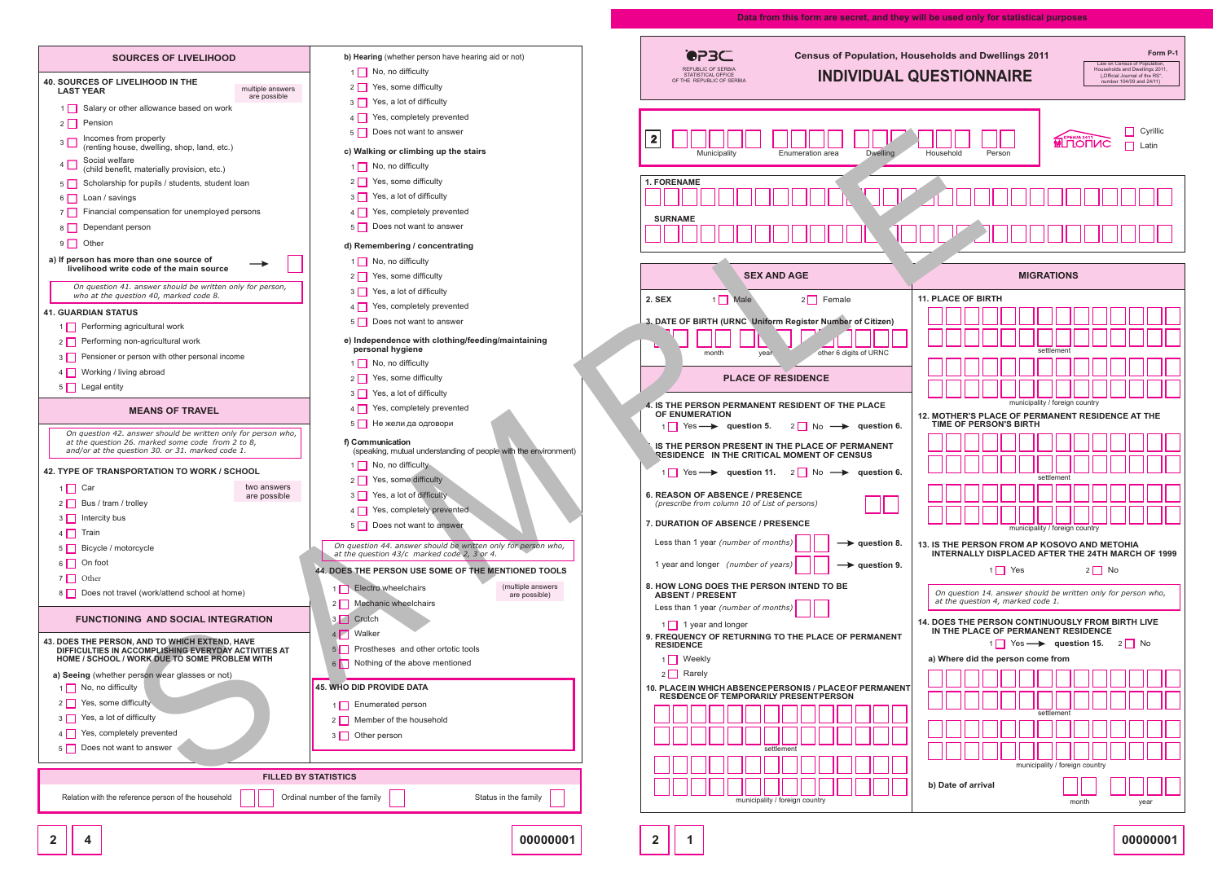**00000001**

## **Data from this form are secret, and they will be used only for statistical purposes**

**СРБИЈА ДАЛ** 



|                             | b) Hearing (whether person have hearing aid or not)                                                          | セレコー<br><b>Census of Population, Households and Dwelling</b><br>REPUBLIC OF SERBIA                                                              |                                                   |
|-----------------------------|--------------------------------------------------------------------------------------------------------------|-------------------------------------------------------------------------------------------------------------------------------------------------|---------------------------------------------------|
|                             | $1 \Box$ No, no difficulty                                                                                   | <b>INDIVIDUAL QUESTIONNAIR</b><br>STATISTICAL OFFICE<br>OF THE REPUBLIC OF SERBIA                                                               |                                                   |
| ple answers<br>possible     | Yes, some difficulty<br>$2$                                                                                  |                                                                                                                                                 |                                                   |
|                             | $3\Box$<br>Yes, a lot of difficulty                                                                          |                                                                                                                                                 |                                                   |
|                             | Yes, completely prevented<br>$4\Box$                                                                         |                                                                                                                                                 |                                                   |
|                             | 5 Does not want to answer                                                                                    | $\boldsymbol{2}$                                                                                                                                |                                                   |
|                             | c) Walking or climbing up the stairs                                                                         | Municipality<br><b>Dwelling</b><br>Enumeration area<br>Household                                                                                | Person                                            |
|                             | No, no difficulty<br>$1\Box$                                                                                 |                                                                                                                                                 |                                                   |
|                             | $2 \n\begin{array}{ c } \n\end{array}$ Yes, some difficulty                                                  | <b>1. FORENAME</b>                                                                                                                              |                                                   |
|                             | Yes, a lot of difficulty<br>$3$                                                                              |                                                                                                                                                 |                                                   |
|                             | Yes, completely prevented<br>$4\Box$                                                                         | <b>SURNAME</b>                                                                                                                                  |                                                   |
|                             | Does not want to answer<br>$5\Box$                                                                           |                                                                                                                                                 |                                                   |
|                             | d) Remembering / concentrating<br>$1 \square$ No, no difficulty                                              |                                                                                                                                                 |                                                   |
|                             |                                                                                                              | <b>SEX AND AGE</b>                                                                                                                              |                                                   |
| person,                     | 2 Yes, some difficulty                                                                                       |                                                                                                                                                 |                                                   |
|                             | $3 \Box$ Yes, a lot of difficulty                                                                            | <b>11. PLACE OF BIRTH</b><br>$2$ Female<br>2. SEX<br>Male<br>$1 \mid$                                                                           |                                                   |
|                             | Yes, completely prevented<br>$4\Box$                                                                         |                                                                                                                                                 |                                                   |
|                             | Does not want to answer<br>$5 \mid \mid$                                                                     | 3. DATE OF BIRTH (URNC Uniform Register Number of Citizen)                                                                                      |                                                   |
|                             | e) Independence with clothing/feeding/maintaining<br>personal hygiene                                        | other 6 digits of URNC<br>month<br>year                                                                                                         |                                                   |
|                             | $1$ No, no difficulty                                                                                        |                                                                                                                                                 |                                                   |
|                             | Yes, some difficulty<br>$2$                                                                                  | <b>PLACE OF RESIDENCE</b>                                                                                                                       |                                                   |
|                             | $3 \Box$ Yes, a lot of difficulty                                                                            |                                                                                                                                                 |                                                   |
|                             | Yes, completely prevented                                                                                    | 4. IS THE PERSON PERMANENT RESIDENT OF THE PLACE<br>OF ENUMERATION                                                                              | m<br><b>12. MOTHER'S PLACE O</b>                  |
| erson who,                  | 5 Не жели да одговори                                                                                        | $2 \quad \text{No} \longrightarrow \text{ question 6.}$<br>$1 \n\begin{array}{ccc}\n1 & \text{Yes} \rightarrow \text{question 5.}\n\end{array}$ | <b>TIME OF PERSON'S E</b>                         |
|                             | f) Communication<br>(speaking, mutual understanding of people with the environment)                          | IS THE PERSON PRESENT IN THE PLACE OF PERMANENT                                                                                                 |                                                   |
|                             | 1 No, no difficulty                                                                                          | RESIDENCE IN THE CRITICAL MOMENT OF CENSUS                                                                                                      |                                                   |
|                             | 2 Yes, some difficulty                                                                                       | 1 Yes $\longrightarrow$ question 11. 2 No $\longrightarrow$ question 6.                                                                         |                                                   |
| answers<br>possible         | 3 Yes, a lot of difficulty                                                                                   | <b>6. REASON OF ABSENCE / PRESENCE</b>                                                                                                          |                                                   |
|                             | 4 Yes, completely prevented                                                                                  | (prescribe from column 10 of List of persons)<br>لننالب                                                                                         |                                                   |
|                             | 5 Does not want to answer                                                                                    | 7. DURATION OF ABSENCE / PRESENCE                                                                                                               | m                                                 |
|                             | On question 44. answer should be written only for person who,<br>at the question 43/c marked code 2, 3 or 4. | Less than 1 year (number of months)<br>$\rightarrow$ question 8.                                                                                | 13. IS THE PERSON FRO<br><b>INTERNALLY DISPLA</b> |
|                             | 44. DOES THE PERSON USE SOME OF THE MENTIONED TOOLS                                                          | 1 year and longer (number of years)<br>$\rightarrow$ question 9.                                                                                | $1 \Box Y$                                        |
|                             | (multiple answers<br>1 Electro wheelchairs<br>are possible)                                                  | 8. HOW LONG DOES THE PERSON INTEND TO BE<br><b>ABSENT / PRESENT</b>                                                                             | On question 14. answe                             |
|                             | 2 Mechanic wheelchairs                                                                                       | Less than 1 year (number of months)                                                                                                             | at the question 4, mar                            |
| ON                          | 3 Crutch                                                                                                     |                                                                                                                                                 | 14. DOES THE PERSON                               |
|                             | 4 Walker                                                                                                     | 9. FREQUENCY OF RETURNING TO THE PLACE OF PERMANENT                                                                                             | IN THE PLACE OF PE<br>$1 \Box Y$                  |
| ITIES AT<br>/ІТН            | Prostheses and other ortotic tools<br>5 <sup>1</sup>                                                         | <b>RESIDENCE</b><br>1 Weekly                                                                                                                    | a) Where did the perso                            |
|                             | 6 Nothing of the above mentioned                                                                             | $2 \Box$ Rarely                                                                                                                                 |                                                   |
|                             | <b>45. WHO DID PROVIDE DATA</b>                                                                              | 10. PLACE IN WHICH ABSENCEPERSON IS / PLACE OF PERMANENT                                                                                        |                                                   |
|                             | 1 Enumerated person                                                                                          | <b>RESIDENCE OF TEMPORARILY PRESENT PERSON</b>                                                                                                  |                                                   |
|                             | 2 Member of the household                                                                                    |                                                                                                                                                 |                                                   |
|                             | 3 Other person                                                                                               |                                                                                                                                                 |                                                   |
|                             |                                                                                                              | settlemen                                                                                                                                       |                                                   |
|                             |                                                                                                              |                                                                                                                                                 |                                                   |
| <b>FILLED BY STATISTICS</b> |                                                                                                              |                                                                                                                                                 |                                                   |
|                             | Ordinal number of the family<br>Status in the family                                                         | b) Date of arrival<br>municipality / foreign country                                                                                            |                                                   |
|                             |                                                                                                              |                                                                                                                                                 |                                                   |

| <b>SOURCES OF LIVELIHOOD</b>                                                                                       | b) Hearing (whether person have hearing aid or not)                                                          |  |  |  |  |  |  |  |  |  |  |  |  |  |
|--------------------------------------------------------------------------------------------------------------------|--------------------------------------------------------------------------------------------------------------|--|--|--|--|--|--|--|--|--|--|--|--|--|
| <b>40. SOURCES OF LIVELIHOOD IN THE</b>                                                                            | No, no difficulty                                                                                            |  |  |  |  |  |  |  |  |  |  |  |  |  |
| multiple answers<br><b>LAST YEAR</b><br>are possible                                                               | Yes, some difficulty                                                                                         |  |  |  |  |  |  |  |  |  |  |  |  |  |
| Salary or other allowance based on work                                                                            | Yes, a lot of difficulty                                                                                     |  |  |  |  |  |  |  |  |  |  |  |  |  |
| Pension<br>2 <sub>1</sub>                                                                                          | Yes, completely prevented                                                                                    |  |  |  |  |  |  |  |  |  |  |  |  |  |
| Incomes from property<br>3<br>(renting house, dwelling, shop, land, etc.)                                          | Does not want to answer                                                                                      |  |  |  |  |  |  |  |  |  |  |  |  |  |
| Social welfare<br>4                                                                                                | c) Walking or climbing up the stairs                                                                         |  |  |  |  |  |  |  |  |  |  |  |  |  |
| (child benefit, materially provision, etc.)                                                                        | No, no difficulty                                                                                            |  |  |  |  |  |  |  |  |  |  |  |  |  |
| Scholarship for pupils / students, student loan<br>5                                                               | Yes, some difficulty                                                                                         |  |  |  |  |  |  |  |  |  |  |  |  |  |
| Loan / savings<br>6                                                                                                | Yes, a lot of difficulty<br>3                                                                                |  |  |  |  |  |  |  |  |  |  |  |  |  |
| Financial compensation for unemployed persons<br>7 I                                                               | Yes, completely prevented<br>Does not want to answer<br>5 <sup>1</sup>                                       |  |  |  |  |  |  |  |  |  |  |  |  |  |
| Dependant person<br>8                                                                                              |                                                                                                              |  |  |  |  |  |  |  |  |  |  |  |  |  |
| Other<br>9                                                                                                         | d) Remembering / concentrating                                                                               |  |  |  |  |  |  |  |  |  |  |  |  |  |
| a) If person has more than one source of<br>livelihood write code of the main source                               | No, no difficulty                                                                                            |  |  |  |  |  |  |  |  |  |  |  |  |  |
| On question 41. answer should be written only for person,                                                          | Yes, some difficulty                                                                                         |  |  |  |  |  |  |  |  |  |  |  |  |  |
| who at the question 40, marked code 8.                                                                             | Yes, a lot of difficulty                                                                                     |  |  |  |  |  |  |  |  |  |  |  |  |  |
| <b>41. GUARDIAN STATUS</b>                                                                                         | Yes, completely prevented                                                                                    |  |  |  |  |  |  |  |  |  |  |  |  |  |
| Performing agricultural work<br>1 I                                                                                | Does not want to answer<br>5                                                                                 |  |  |  |  |  |  |  |  |  |  |  |  |  |
| Performing non-agricultural work<br>2                                                                              | e) Independence with clothing/feeding/maintaining<br>personal hygiene                                        |  |  |  |  |  |  |  |  |  |  |  |  |  |
| Pensioner or person with other personal income<br>3                                                                | No, no difficulty                                                                                            |  |  |  |  |  |  |  |  |  |  |  |  |  |
| Working / living abroad<br>4                                                                                       | Yes, some difficulty<br>2 <sup>1</sup>                                                                       |  |  |  |  |  |  |  |  |  |  |  |  |  |
| Legal entity<br>5 I                                                                                                | Yes, a lot of difficulty                                                                                     |  |  |  |  |  |  |  |  |  |  |  |  |  |
| <b>MEANS OF TRAVEL</b>                                                                                             | Yes, completely prevented                                                                                    |  |  |  |  |  |  |  |  |  |  |  |  |  |
|                                                                                                                    | Не жели да одговори                                                                                          |  |  |  |  |  |  |  |  |  |  |  |  |  |
| On question 42. answer should be written only for person who,<br>at the question 26. marked some code from 2 to 8, | f) Communication                                                                                             |  |  |  |  |  |  |  |  |  |  |  |  |  |
| and/or at the question 30. or 31. marked code 1.                                                                   | (speaking, mutual understanding of people with the environment)                                              |  |  |  |  |  |  |  |  |  |  |  |  |  |
| 42. TYPE OF TRANSPORTATION TO WORK / SCHOOL                                                                        | No, no difficulty<br>Yes, some difficulty                                                                    |  |  |  |  |  |  |  |  |  |  |  |  |  |
| two answers<br>Car<br>1                                                                                            | 2<br>Yes, a lot of difficulty                                                                                |  |  |  |  |  |  |  |  |  |  |  |  |  |
| are possible<br>2   Bus / tram / trolley                                                                           | Yes, completely prevented<br>4                                                                               |  |  |  |  |  |  |  |  |  |  |  |  |  |
| Intercity bus<br>3 I                                                                                               | Does not want to answer<br>5 I                                                                               |  |  |  |  |  |  |  |  |  |  |  |  |  |
| Train                                                                                                              |                                                                                                              |  |  |  |  |  |  |  |  |  |  |  |  |  |
| Bicycle / motorcycle<br>5                                                                                          | On question 44. answer should be written only for person who,<br>at the question 43/c marked code 2, 3 or 4. |  |  |  |  |  |  |  |  |  |  |  |  |  |
| On foot                                                                                                            | <b>44. DOES THE PERSON USE SOME OF THE MENTIONED TOOLS</b>                                                   |  |  |  |  |  |  |  |  |  |  |  |  |  |
| Other<br>7                                                                                                         | (multiple answers<br>Electro wheelchairs<br>1 I I                                                            |  |  |  |  |  |  |  |  |  |  |  |  |  |
| Does not travel (work/attend school at home)<br>8                                                                  | are possible)<br>Mechanic wheelchairs<br>2                                                                   |  |  |  |  |  |  |  |  |  |  |  |  |  |
| <b>FUNCTIONING AND SOCIAL INTEGRATION</b>                                                                          | Crutch<br>3                                                                                                  |  |  |  |  |  |  |  |  |  |  |  |  |  |
|                                                                                                                    | Walker                                                                                                       |  |  |  |  |  |  |  |  |  |  |  |  |  |
| <b>43. DOES THE PERSON, AND TO WHICH EXTEND, HAVE</b><br>DIFFICULTIES IN ACCOMPLISHING EVERYDAY ACTIVITIES AT      | Prostheses and other ortotic tools                                                                           |  |  |  |  |  |  |  |  |  |  |  |  |  |
| HOME / SCHOOL / WORK DUE TO SOME PROBLEM WITH                                                                      | Nothing of the above mentioned<br>6                                                                          |  |  |  |  |  |  |  |  |  |  |  |  |  |
| a) Seeing (whether person wear glasses or not)                                                                     |                                                                                                              |  |  |  |  |  |  |  |  |  |  |  |  |  |
| No, no difficulty<br>1                                                                                             | <b>45. WHO DID PROVIDE DATA</b>                                                                              |  |  |  |  |  |  |  |  |  |  |  |  |  |
| Yes, some difficulty<br>2                                                                                          | Enumerated person<br>1                                                                                       |  |  |  |  |  |  |  |  |  |  |  |  |  |
| Yes, a lot of difficulty<br>3                                                                                      | Member of the household<br>2 <sup>1</sup>                                                                    |  |  |  |  |  |  |  |  |  |  |  |  |  |
| Yes, completely prevented<br>4                                                                                     | Other person<br>3 <sup>1</sup>                                                                               |  |  |  |  |  |  |  |  |  |  |  |  |  |
| Does not want to answer<br>5 <sub>1</sub>                                                                          |                                                                                                              |  |  |  |  |  |  |  |  |  |  |  |  |  |
| <b>FILLED BY STATISTICS</b>                                                                                        |                                                                                                              |  |  |  |  |  |  |  |  |  |  |  |  |  |
|                                                                                                                    |                                                                                                              |  |  |  |  |  |  |  |  |  |  |  |  |  |
| Relation with the reference person of the household                                                                | Ordinal number of the family<br>Status in the family                                                         |  |  |  |  |  |  |  |  |  |  |  |  |  |

**00000001**

**2**  $\|$  1

**2**  $\vert$  4